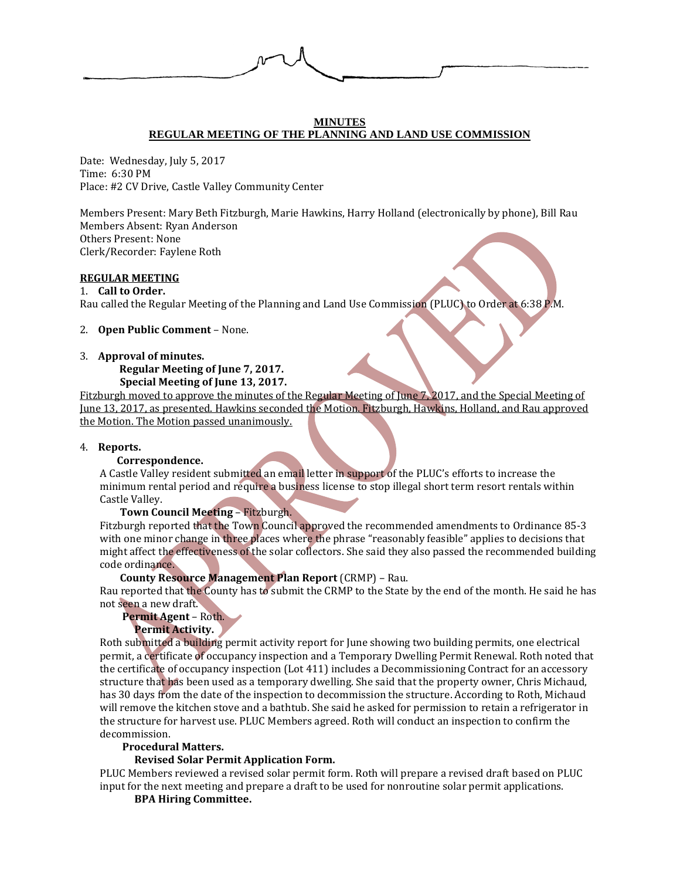

### **MINUTES REGULAR MEETING OF THE PLANNING AND LAND USE COMMISSION**

Date: Wednesday, July 5, 2017 Time: 6:30 PM Place: #2 CV Drive, Castle Valley Community Center

Members Present: Mary Beth Fitzburgh, Marie Hawkins, Harry Holland (electronically by phone), Bill Rau Members Absent: Ryan Anderson Others Present: None Clerk/Recorder: Faylene Roth

### **REGULAR MEETING**

### 1. **Call to Order.**

Rau called the Regular Meeting of the Planning and Land Use Commission (PLUC) to Order at 6:38 P.M.

### 2. **Open Public Comment** – None.

#### 3. **Approval of minutes.**

 **Regular Meeting of June 7, 2017. Special Meeting of June 13, 2017.**

Fitzburgh moved to approve the minutes of the Regular Meeting of June 7, 2017, and the Special Meeting of June 13, 2017, as presented. Hawkins seconded the Motion. Fitzburgh, Hawkins, Holland, and Rau approved the Motion. The Motion passed unanimously.

#### 4. **Reports.**

#### **Correspondence.**

A Castle Valley resident submitted an email letter in support of the PLUC's efforts to increase the minimum rental period and require a business license to stop illegal short term resort rentals within Castle Valley.

**Town Council Meeting** – Fitzburgh.

Fitzburgh reported that the Town Council approved the recommended amendments to Ordinance 85-3 with one minor change in three places where the phrase "reasonably feasible" applies to decisions that might affect the effectiveness of the solar collectors. She said they also passed the recommended building code ordinance.

### **County Resource Management Plan Report** (CRMP) – Rau.

Rau reported that the County has to submit the CRMP to the State by the end of the month. He said he has not seen a new draft.

**Permit Agent** – Roth.

## **Permit Activity.**

Roth submitted a building permit activity report for June showing two building permits, one electrical permit, a certificate of occupancy inspection and a Temporary Dwelling Permit Renewal. Roth noted that the certificate of occupancy inspection (Lot 411) includes a Decommissioning Contract for an accessory structure that has been used as a temporary dwelling. She said that the property owner, Chris Michaud, has 30 days from the date of the inspection to decommission the structure. According to Roth, Michaud will remove the kitchen stove and a bathtub. She said he asked for permission to retain a refrigerator in the structure for harvest use. PLUC Members agreed. Roth will conduct an inspection to confirm the decommission.

### **Procedural Matters.**

### **Revised Solar Permit Application Form.**

PLUC Members reviewed a revised solar permit form. Roth will prepare a revised draft based on PLUC input for the next meeting and prepare a draft to be used for nonroutine solar permit applications.

#### **BPA Hiring Committee.**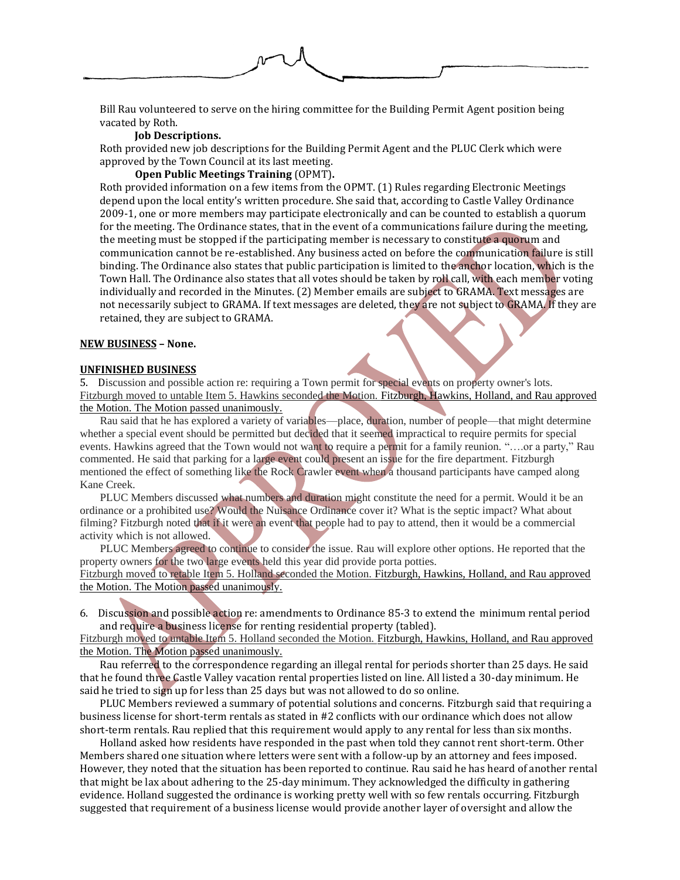

Bill Rau volunteered to serve on the hiring committee for the Building Permit Agent position being vacated by Roth.

### **Job Descriptions.**

Roth provided new job descriptions for the Building Permit Agent and the PLUC Clerk which were approved by the Town Council at its last meeting.

#### **Open Public Meetings Training** (OPMT)**.**

Roth provided information on a few items from the OPMT. (1) Rules regarding Electronic Meetings depend upon the local entity's written procedure. She said that, according to Castle Valley Ordinance 2009-1, one or more members may participate electronically and can be counted to establish a quorum for the meeting. The Ordinance states, that in the event of a communications failure during the meeting, the meeting must be stopped if the participating member is necessary to constitute a quorum and communication cannot be re-established. Any business acted on before the communication failure is still binding. The Ordinance also states that public participation is limited to the anchor location, which is the Town Hall. The Ordinance also states that all votes should be taken by roll call, with each member voting individually and recorded in the Minutes. (2) Member emails are subject to GRAMA. Text messages are not necessarily subject to GRAMA. If text messages are deleted, they are not subject to GRAMA. If they are retained, they are subject to GRAMA.

### **NEW BUSINESS – None.**

#### **UNFINISHED BUSINESS**

5. Discussion and possible action re: requiring a Town permit for special events on property owner's lots. Fitzburgh moved to untable Item 5. Hawkins seconded the Motion. Fitzburgh, Hawkins, Holland, and Rau approved the Motion. The Motion passed unanimously.

Rau said that he has explored a variety of variables—place, duration, number of people—that might determine whether a special event should be permitted but decided that it seemed impractical to require permits for special events. Hawkins agreed that the Town would not want to require a permit for a family reunion. "….or a party," Rau commented. He said that parking for a large event could present an issue for the fire department. Fitzburgh mentioned the effect of something like the Rock Crawler event when a thousand participants have camped along Kane Creek.

PLUC Members discussed what numbers and duration might constitute the need for a permit. Would it be an ordinance or a prohibited use? Would the Nuisance Ordinance cover it? What is the septic impact? What about filming? Fitzburgh noted that if it were an event that people had to pay to attend, then it would be a commercial activity which is not allowed.

PLUC Members agreed to continue to consider the issue. Rau will explore other options. He reported that the property owners for the two large events held this year did provide porta potties.

Fitzburgh moved to retable Item 5. Holland seconded the Motion. Fitzburgh, Hawkins, Holland, and Rau approved the Motion. The Motion passed unanimously.

6. Discussion and possible action re: amendments to Ordinance 85-3 to extend the minimum rental period and require a business license for renting residential property (tabled).

Fitzburgh moved to untable Item 5. Holland seconded the Motion. Fitzburgh, Hawkins, Holland, and Rau approved the Motion. The Motion passed unanimously.

Rau referred to the correspondence regarding an illegal rental for periods shorter than 25 days. He said that he found three Castle Valley vacation rental properties listed on line. All listed a 30-day minimum. He said he tried to sign up for less than 25 days but was not allowed to do so online.

PLUC Members reviewed a summary of potential solutions and concerns. Fitzburgh said that requiring a business license for short-term rentals as stated in #2 conflicts with our ordinance which does not allow short-term rentals. Rau replied that this requirement would apply to any rental for less than six months.

Holland asked how residents have responded in the past when told they cannot rent short-term. Other Members shared one situation where letters were sent with a follow-up by an attorney and fees imposed. However, they noted that the situation has been reported to continue. Rau said he has heard of another rental that might be lax about adhering to the 25-day minimum. They acknowledged the difficulty in gathering evidence. Holland suggested the ordinance is working pretty well with so few rentals occurring. Fitzburgh suggested that requirement of a business license would provide another layer of oversight and allow the